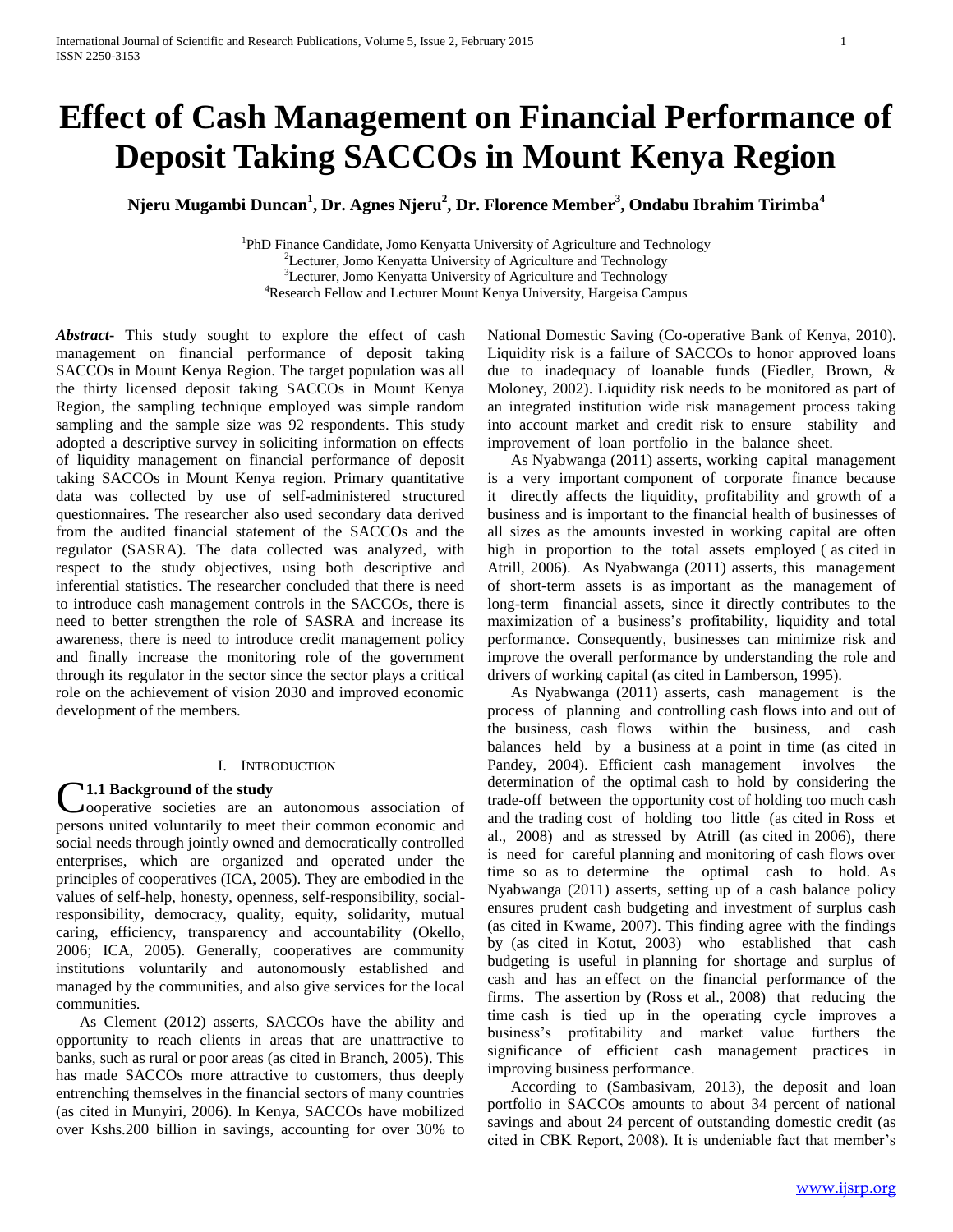# **Effect of Cash Management on Financial Performance of Deposit Taking SACCOs in Mount Kenya Region**

**Njeru Mugambi Duncan<sup>1</sup> , Dr. Agnes Njeru<sup>2</sup> , Dr. Florence Member<sup>3</sup> , Ondabu Ibrahim Tirimba<sup>4</sup>**

<sup>1</sup>PhD Finance Candidate, Jomo Kenyatta University of Agriculture and Technology <sup>2</sup>Lecturer, Jomo Kenyatta University of Agriculture and Technology <sup>3</sup>Lecturer, Jomo Kenyatta University of Agriculture and Technology <sup>4</sup>Research Fellow and Lecturer Mount Kenya University, Hargeisa Campus

*Abstract***-** This study sought to explore the effect of cash management on financial performance of deposit taking SACCOs in Mount Kenya Region. The target population was all the thirty licensed deposit taking SACCOs in Mount Kenya Region, the sampling technique employed was simple random sampling and the sample size was 92 respondents. This study adopted a descriptive survey in soliciting information on effects of liquidity management on financial performance of deposit taking SACCOs in Mount Kenya region. Primary quantitative data was collected by use of self-administered structured questionnaires. The researcher also used secondary data derived from the audited financial statement of the SACCOs and the regulator (SASRA). The data collected was analyzed, with respect to the study objectives, using both descriptive and inferential statistics. The researcher concluded that there is need to introduce cash management controls in the SACCOs, there is need to better strengthen the role of SASRA and increase its awareness, there is need to introduce credit management policy and finally increase the monitoring role of the government through its regulator in the sector since the sector plays a critical role on the achievement of vision 2030 and improved economic development of the members.

# I. INTRODUCTION

# **1.1 Background of the study**

**C1.1 Background of the study**<br>
cooperative societies are an autonomous association of persons united voluntarily to meet their common economic and social needs through jointly owned and democratically controlled enterprises, which are organized and operated under the principles of cooperatives (ICA, 2005). They are embodied in the values of self-help, honesty, openness, self-responsibility, socialresponsibility, democracy, quality, equity, solidarity, mutual caring, efficiency, transparency and accountability (Okello, 2006; ICA, 2005). Generally, cooperatives are community institutions voluntarily and autonomously established and managed by the communities, and also give services for the local communities.

 As Clement (2012) asserts, SACCOs have the ability and opportunity to reach clients in areas that are unattractive to banks, such as rural or poor areas (as cited in Branch, 2005). This has made SACCOs more attractive to customers, thus deeply entrenching themselves in the financial sectors of many countries (as cited in Munyiri, 2006). In Kenya, SACCOs have mobilized over Kshs.200 billion in savings, accounting for over 30% to National Domestic Saving (Co-operative Bank of Kenya, 2010). Liquidity risk is a failure of SACCOs to honor approved loans due to inadequacy of loanable funds (Fiedler, Brown, & Moloney, 2002). Liquidity risk needs to be monitored as part of an integrated institution wide risk management process taking into account market and credit risk to ensure stability and improvement of loan portfolio in the balance sheet.

 As Nyabwanga (2011) asserts, working capital management is a very important component of corporate finance because it directly affects the liquidity, profitability and growth of a business and is important to the financial health of businesses of all sizes as the amounts invested in working capital are often high in proportion to the total assets employed ( as cited in Atrill, 2006). As Nyabwanga (2011) asserts, this management of short-term assets is as important as the management of long-term financial assets, since it directly contributes to the maximization of a business's profitability, liquidity and total performance. Consequently, businesses can minimize risk and improve the overall performance by understanding the role and drivers of working capital (as cited in Lamberson, 1995).

 As Nyabwanga (2011) asserts, cash management is the process of planning and controlling cash flows into and out of the business, cash flows within the business, and cash balances held by a business at a point in time (as cited in Pandey, 2004). Efficient cash management involves the determination of the optimal cash to hold by considering the trade-off between the opportunity cost of holding too much cash and the trading cost of holding too little (as cited in Ross et al., 2008) and as stressed by Atrill (as cited in 2006), there is need for careful planning and monitoring of cash flows over time so as to determine the optimal cash to hold. As Nyabwanga (2011) asserts, setting up of a cash balance policy ensures prudent cash budgeting and investment of surplus cash (as cited in Kwame, 2007). This finding agree with the findings by (as cited in Kotut, 2003) who established that cash budgeting is useful in planning for shortage and surplus of cash and has an effect on the financial performance of the firms. The assertion by (Ross et al., 2008) that reducing the time cash is tied up in the operating cycle improves a business's profitability and market value furthers the significance of efficient cash management practices in improving business performance.

 According to (Sambasivam, 2013), the deposit and loan portfolio in SACCOs amounts to about 34 percent of national savings and about 24 percent of outstanding domestic credit (as cited in CBK Report, 2008). It is undeniable fact that member's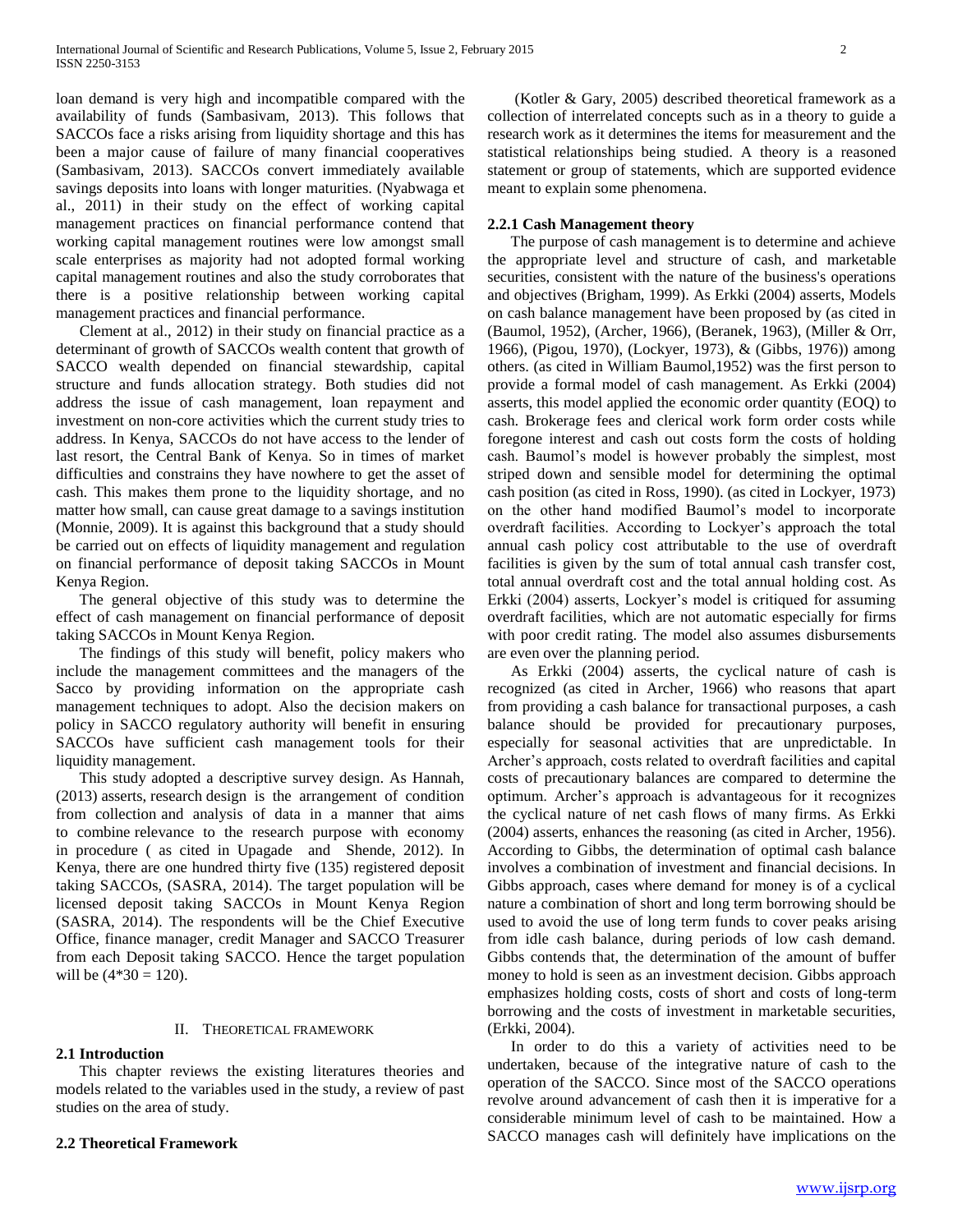loan demand is very high and incompatible compared with the availability of funds (Sambasivam, 2013). This follows that SACCOs face a risks arising from liquidity shortage and this has been a major cause of failure of many financial cooperatives (Sambasivam, 2013). SACCOs convert immediately available savings deposits into loans with longer maturities. (Nyabwaga et al., 2011) in their study on the effect of working capital management practices on financial performance contend that working capital management routines were low amongst small scale enterprises as majority had not adopted formal working capital management routines and also the study corroborates that there is a positive relationship between working capital management practices and financial performance.

 Clement at al., 2012) in their study on financial practice as a determinant of growth of SACCOs wealth content that growth of SACCO wealth depended on financial stewardship, capital structure and funds allocation strategy. Both studies did not address the issue of cash management, loan repayment and investment on non-core activities which the current study tries to address. In Kenya, SACCOs do not have access to the lender of last resort, the Central Bank of Kenya. So in times of market difficulties and constrains they have nowhere to get the asset of cash. This makes them prone to the liquidity shortage, and no matter how small, can cause great damage to a savings institution (Monnie, 2009). It is against this background that a study should be carried out on effects of liquidity management and regulation on financial performance of deposit taking SACCOs in Mount Kenya Region.

 The general objective of this study was to determine the effect of cash management on financial performance of deposit taking SACCOs in Mount Kenya Region.

 The findings of this study will benefit, policy makers who include the management committees and the managers of the Sacco by providing information on the appropriate cash management techniques to adopt. Also the decision makers on policy in SACCO regulatory authority will benefit in ensuring SACCOs have sufficient cash management tools for their liquidity management.

 This study adopted a descriptive survey design. As Hannah, (2013) asserts, research design is the arrangement of condition from collection and analysis of data in a manner that aims to combine relevance to the research purpose with economy in procedure ( as cited in Upagade and Shende, 2012). In Kenya, there are one hundred thirty five (135) registered deposit taking SACCOs, (SASRA, 2014). The target population will be licensed deposit taking SACCOs in Mount Kenya Region (SASRA, 2014). The respondents will be the Chief Executive Office, finance manager, credit Manager and SACCO Treasurer from each Deposit taking SACCO. Hence the target population will be  $(4*30 = 120)$ .

## II. THEORETICAL FRAMEWORK

# **2.1 Introduction**

 This chapter reviews the existing literatures theories and models related to the variables used in the study, a review of past studies on the area of study.

## **2.2 Theoretical Framework**

 (Kotler & Gary, 2005) described theoretical framework as a collection of interrelated concepts such as in a theory to guide a research work as it determines the items for measurement and the statistical relationships being studied. A theory is a reasoned statement or group of statements, which are supported evidence meant to explain some phenomena.

## **2.2.1 Cash Management theory**

 The purpose of cash management is to determine and achieve the appropriate level and structure of cash, and marketable securities, consistent with the nature of the business's operations and objectives (Brigham, 1999). As Erkki (2004) asserts, Models on cash balance management have been proposed by (as cited in (Baumol, 1952), (Archer, 1966), (Beranek, 1963), (Miller & Orr, 1966), (Pigou, 1970), (Lockyer, 1973), & (Gibbs, 1976)) among others. (as cited in William Baumol,1952) was the first person to provide a formal model of cash management. As Erkki (2004) asserts, this model applied the economic order quantity (EOQ) to cash. Brokerage fees and clerical work form order costs while foregone interest and cash out costs form the costs of holding cash. Baumol's model is however probably the simplest, most striped down and sensible model for determining the optimal cash position (as cited in Ross, 1990). (as cited in Lockyer, 1973) on the other hand modified Baumol's model to incorporate overdraft facilities. According to Lockyer's approach the total annual cash policy cost attributable to the use of overdraft facilities is given by the sum of total annual cash transfer cost, total annual overdraft cost and the total annual holding cost. As Erkki (2004) asserts, Lockyer's model is critiqued for assuming overdraft facilities, which are not automatic especially for firms with poor credit rating. The model also assumes disbursements are even over the planning period.

 As Erkki (2004) asserts, the cyclical nature of cash is recognized (as cited in Archer, 1966) who reasons that apart from providing a cash balance for transactional purposes, a cash balance should be provided for precautionary purposes, especially for seasonal activities that are unpredictable. In Archer's approach, costs related to overdraft facilities and capital costs of precautionary balances are compared to determine the optimum. Archer's approach is advantageous for it recognizes the cyclical nature of net cash flows of many firms. As Erkki (2004) asserts, enhances the reasoning (as cited in Archer, 1956). According to Gibbs, the determination of optimal cash balance involves a combination of investment and financial decisions. In Gibbs approach, cases where demand for money is of a cyclical nature a combination of short and long term borrowing should be used to avoid the use of long term funds to cover peaks arising from idle cash balance, during periods of low cash demand. Gibbs contends that, the determination of the amount of buffer money to hold is seen as an investment decision. Gibbs approach emphasizes holding costs, costs of short and costs of long-term borrowing and the costs of investment in marketable securities, (Erkki, 2004).

 In order to do this a variety of activities need to be undertaken, because of the integrative nature of cash to the operation of the SACCO. Since most of the SACCO operations revolve around advancement of cash then it is imperative for a considerable minimum level of cash to be maintained. How a SACCO manages cash will definitely have implications on the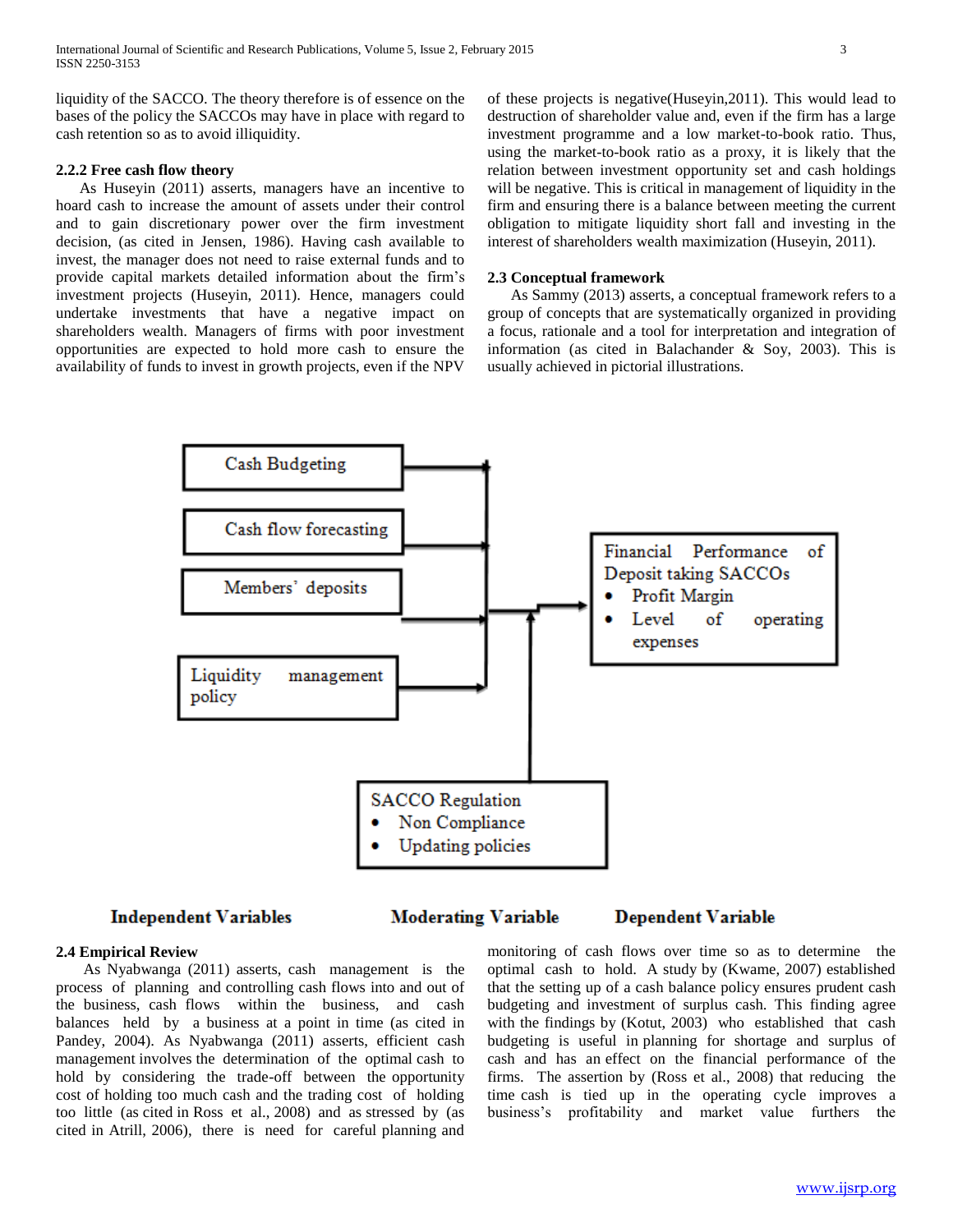liquidity of the SACCO. The theory therefore is of essence on the bases of the policy the SACCOs may have in place with regard to cash retention so as to avoid illiquidity.

## **2.2.2 Free cash flow theory**

 As Huseyin (2011) asserts, managers have an incentive to hoard cash to increase the amount of assets under their control and to gain discretionary power over the firm investment decision, (as cited in Jensen, 1986). Having cash available to invest, the manager does not need to raise external funds and to provide capital markets detailed information about the firm's investment projects (Huseyin, 2011). Hence, managers could undertake investments that have a negative impact on shareholders wealth. Managers of firms with poor investment opportunities are expected to hold more cash to ensure the availability of funds to invest in growth projects, even if the NPV

of these projects is negative(Huseyin,2011). This would lead to destruction of shareholder value and, even if the firm has a large investment programme and a low market-to-book ratio. Thus, using the market-to-book ratio as a proxy, it is likely that the relation between investment opportunity set and cash holdings will be negative. This is critical in management of liquidity in the firm and ensuring there is a balance between meeting the current obligation to mitigate liquidity short fall and investing in the interest of shareholders wealth maximization (Huseyin, 2011).

## **2.3 Conceptual framework**

 As Sammy (2013) asserts, a conceptual framework refers to a group of concepts that are systematically organized in providing a focus, rationale and a tool for interpretation and integration of information (as cited in Balachander & Soy, 2003). This is usually achieved in pictorial illustrations.



## **Independent Variables**

**Moderating Variable** 

# **Dependent Variable**

#### **2.4 Empirical Review**

 As Nyabwanga (2011) asserts, cash management is the process of planning and controlling cash flows into and out of the business, cash flows within the business, and cash balances held by a business at a point in time (as cited in Pandey, 2004). As Nyabwanga (2011) asserts, efficient cash management involves the determination of the optimal cash to hold by considering the trade-off between the opportunity cost of holding too much cash and the trading cost of holding too little (as cited in Ross et al., 2008) and as stressed by (as cited in Atrill, 2006), there is need for careful planning and

monitoring of cash flows over time so as to determine the optimal cash to hold. A study by (Kwame, 2007) established that the setting up of a cash balance policy ensures prudent cash budgeting and investment of surplus cash. This finding agree with the findings by (Kotut, 2003) who established that cash budgeting is useful in planning for shortage and surplus of cash and has an effect on the financial performance of the firms. The assertion by (Ross et al., 2008) that reducing the time cash is tied up in the operating cycle improves a business's profitability and market value furthers the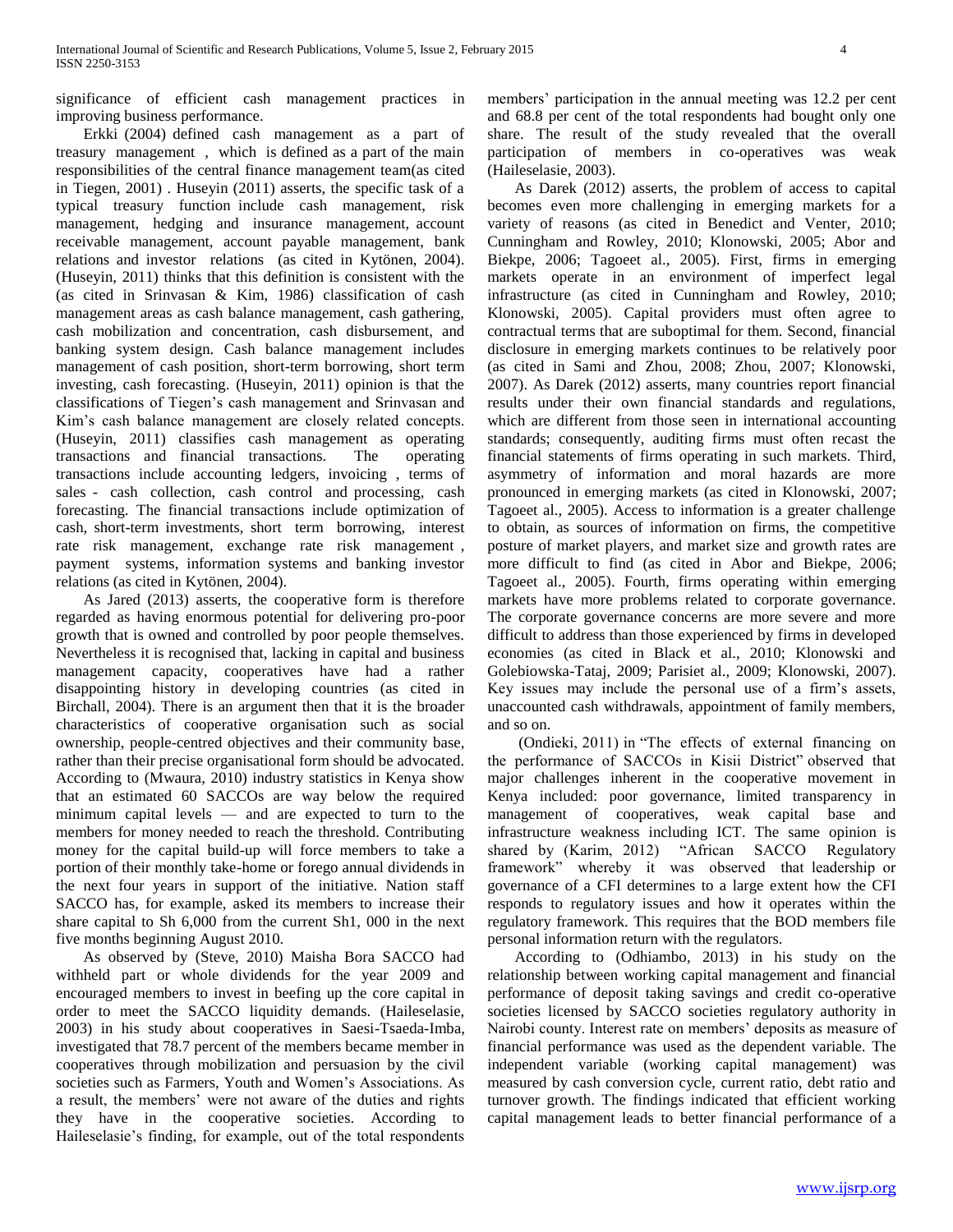significance of efficient cash management practices in improving business performance.

 Erkki (2004) defined cash management as a part of treasury management , which is defined as a part of the main responsibilities of the central finance management team(as cited in Tiegen, 2001) . Huseyin (2011) asserts, the specific task of a typical treasury function include cash management, risk management, hedging and insurance management, account receivable management, account payable management, bank relations and investor relations (as cited in Kytönen, 2004). (Huseyin, 2011) thinks that this definition is consistent with the (as cited in Srinvasan & Kim, 1986) classification of cash management areas as cash balance management, cash gathering, cash mobilization and concentration, cash disbursement, and banking system design. Cash balance management includes management of cash position, short-term borrowing, short term investing, cash forecasting. (Huseyin, 2011) opinion is that the classifications of Tiegen's cash management and Srinvasan and Kim's cash balance management are closely related concepts. (Huseyin, 2011) classifies cash management as operating transactions and financial transactions. The operating transactions include accounting ledgers, invoicing , terms of sales - cash collection, cash control and processing, cash forecasting. The financial transactions include optimization of cash, short-term investments, short term borrowing, interest rate risk management, exchange rate risk management , payment systems, information systems and banking investor relations (as cited in Kytönen, 2004).

 As Jared (2013) asserts, the cooperative form is therefore regarded as having enormous potential for delivering pro-poor growth that is owned and controlled by poor people themselves. Nevertheless it is recognised that, lacking in capital and business management capacity, cooperatives have had a rather disappointing history in developing countries (as cited in Birchall, 2004). There is an argument then that it is the broader characteristics of cooperative organisation such as social ownership, people-centred objectives and their community base, rather than their precise organisational form should be advocated. According to (Mwaura, 2010) industry statistics in Kenya show that an estimated 60 SACCOs are way below the required minimum capital levels –– and are expected to turn to the members for money needed to reach the threshold. Contributing money for the capital build-up will force members to take a portion of their monthly take-home or forego annual dividends in the next four years in support of the initiative. Nation staff SACCO has, for example, asked its members to increase their share capital to Sh 6,000 from the current Sh1, 000 in the next five months beginning August 2010.

 As observed by (Steve, 2010) Maisha Bora SACCO had withheld part or whole dividends for the year 2009 and encouraged members to invest in beefing up the core capital in order to meet the SACCO liquidity demands. (Haileselasie, 2003) in his study about cooperatives in Saesi-Tsaeda-Imba, investigated that 78.7 percent of the members became member in cooperatives through mobilization and persuasion by the civil societies such as Farmers, Youth and Women's Associations. As a result, the members' were not aware of the duties and rights they have in the cooperative societies. According to Haileselasie's finding, for example, out of the total respondents

members' participation in the annual meeting was 12.2 per cent and 68.8 per cent of the total respondents had bought only one share. The result of the study revealed that the overall participation of members in co-operatives was weak (Haileselasie, 2003).

 As Darek (2012) asserts, the problem of access to capital becomes even more challenging in emerging markets for a variety of reasons (as cited in Benedict and Venter, 2010; Cunningham and Rowley, 2010; Klonowski, 2005; Abor and Biekpe, 2006; Tagoeet al., 2005). First, firms in emerging markets operate in an environment of imperfect legal infrastructure (as cited in Cunningham and Rowley, 2010; Klonowski, 2005). Capital providers must often agree to contractual terms that are suboptimal for them. Second, financial disclosure in emerging markets continues to be relatively poor (as cited in Sami and Zhou, 2008; Zhou, 2007; Klonowski, 2007). As Darek (2012) asserts, many countries report financial results under their own financial standards and regulations, which are different from those seen in international accounting standards; consequently, auditing firms must often recast the financial statements of firms operating in such markets. Third, asymmetry of information and moral hazards are more pronounced in emerging markets (as cited in Klonowski, 2007; Tagoeet al., 2005). Access to information is a greater challenge to obtain, as sources of information on firms, the competitive posture of market players, and market size and growth rates are more difficult to find (as cited in Abor and Biekpe, 2006; Tagoeet al., 2005). Fourth, firms operating within emerging markets have more problems related to corporate governance. The corporate governance concerns are more severe and more difficult to address than those experienced by firms in developed economies (as cited in Black et al., 2010; Klonowski and Golebiowska-Tataj, 2009; Parisiet al., 2009; Klonowski, 2007). Key issues may include the personal use of a firm's assets, unaccounted cash withdrawals, appointment of family members, and so on.

 (Ondieki, 2011) in "The effects of external financing on the performance of SACCOs in Kisii District" observed that major challenges inherent in the cooperative movement in Kenya included: poor governance, limited transparency in management of cooperatives, weak capital base and infrastructure weakness including ICT. The same opinion is shared by (Karim, 2012) "African SACCO Regulatory framework" whereby it was observed that leadership or governance of a CFI determines to a large extent how the CFI responds to regulatory issues and how it operates within the regulatory framework. This requires that the BOD members file personal information return with the regulators.

 According to (Odhiambo, 2013) in his study on the relationship between working capital management and financial performance of deposit taking savings and credit co-operative societies licensed by SACCO societies regulatory authority in Nairobi county. Interest rate on members' deposits as measure of financial performance was used as the dependent variable. The independent variable (working capital management) was measured by cash conversion cycle, current ratio, debt ratio and turnover growth. The findings indicated that efficient working capital management leads to better financial performance of a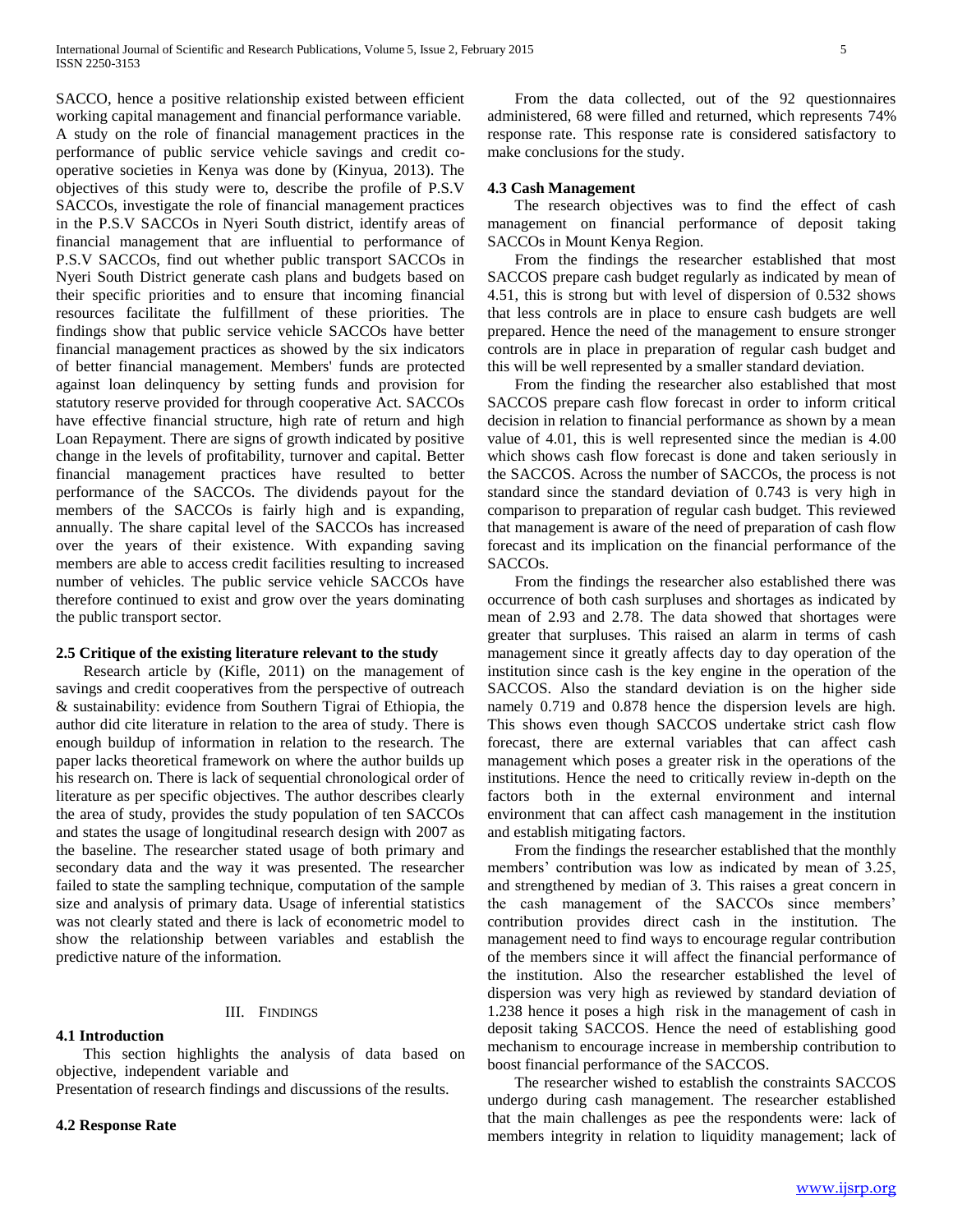SACCO, hence a positive relationship existed between efficient working capital management and financial performance variable. A study on the role of financial management practices in the performance of public service vehicle savings and credit cooperative societies in Kenya was done by (Kinyua, 2013). The objectives of this study were to, describe the profile of P.S.V SACCOs, investigate the role of financial management practices in the P.S.V SACCOs in Nyeri South district, identify areas of financial management that are influential to performance of P.S.V SACCOs, find out whether public transport SACCOs in Nyeri South District generate cash plans and budgets based on their specific priorities and to ensure that incoming financial resources facilitate the fulfillment of these priorities. The findings show that public service vehicle SACCOs have better financial management practices as showed by the six indicators of better financial management. Members' funds are protected against loan delinquency by setting funds and provision for statutory reserve provided for through cooperative Act. SACCOs have effective financial structure, high rate of return and high Loan Repayment. There are signs of growth indicated by positive change in the levels of profitability, turnover and capital. Better financial management practices have resulted to better performance of the SACCOs. The dividends payout for the members of the SACCOs is fairly high and is expanding, annually. The share capital level of the SACCOs has increased over the years of their existence. With expanding saving members are able to access credit facilities resulting to increased number of vehicles. The public service vehicle SACCOs have therefore continued to exist and grow over the years dominating the public transport sector.

## **2.5 Critique of the existing literature relevant to the study**

 Research article by (Kifle, 2011) on the management of savings and credit cooperatives from the perspective of outreach & sustainability: evidence from Southern Tigrai of Ethiopia, the author did cite literature in relation to the area of study. There is enough buildup of information in relation to the research. The paper lacks theoretical framework on where the author builds up his research on. There is lack of sequential chronological order of literature as per specific objectives. The author describes clearly the area of study, provides the study population of ten SACCOs and states the usage of longitudinal research design with 2007 as the baseline. The researcher stated usage of both primary and secondary data and the way it was presented. The researcher failed to state the sampling technique, computation of the sample size and analysis of primary data. Usage of inferential statistics was not clearly stated and there is lack of econometric model to show the relationship between variables and establish the predictive nature of the information.

## III. FINDINGS

## **4.1 Introduction**

 This section highlights the analysis of data based on objective, independent variable and

Presentation of research findings and discussions of the results.

#### **4.2 Response Rate**

 From the data collected, out of the 92 questionnaires administered, 68 were filled and returned, which represents 74% response rate. This response rate is considered satisfactory to make conclusions for the study.

## **4.3 Cash Management**

 The research objectives was to find the effect of cash management on financial performance of deposit taking SACCOs in Mount Kenya Region.

 From the findings the researcher established that most SACCOS prepare cash budget regularly as indicated by mean of 4.51, this is strong but with level of dispersion of 0.532 shows that less controls are in place to ensure cash budgets are well prepared. Hence the need of the management to ensure stronger controls are in place in preparation of regular cash budget and this will be well represented by a smaller standard deviation.

 From the finding the researcher also established that most SACCOS prepare cash flow forecast in order to inform critical decision in relation to financial performance as shown by a mean value of 4.01, this is well represented since the median is 4.00 which shows cash flow forecast is done and taken seriously in the SACCOS. Across the number of SACCOs, the process is not standard since the standard deviation of 0.743 is very high in comparison to preparation of regular cash budget. This reviewed that management is aware of the need of preparation of cash flow forecast and its implication on the financial performance of the SACCOs.

 From the findings the researcher also established there was occurrence of both cash surpluses and shortages as indicated by mean of 2.93 and 2.78. The data showed that shortages were greater that surpluses. This raised an alarm in terms of cash management since it greatly affects day to day operation of the institution since cash is the key engine in the operation of the SACCOS. Also the standard deviation is on the higher side namely 0.719 and 0.878 hence the dispersion levels are high. This shows even though SACCOS undertake strict cash flow forecast, there are external variables that can affect cash management which poses a greater risk in the operations of the institutions. Hence the need to critically review in-depth on the factors both in the external environment and internal environment that can affect cash management in the institution and establish mitigating factors.

 From the findings the researcher established that the monthly members' contribution was low as indicated by mean of 3.25, and strengthened by median of 3. This raises a great concern in the cash management of the SACCOs since members' contribution provides direct cash in the institution. The management need to find ways to encourage regular contribution of the members since it will affect the financial performance of the institution. Also the researcher established the level of dispersion was very high as reviewed by standard deviation of 1.238 hence it poses a high risk in the management of cash in deposit taking SACCOS. Hence the need of establishing good mechanism to encourage increase in membership contribution to boost financial performance of the SACCOS.

 The researcher wished to establish the constraints SACCOS undergo during cash management. The researcher established that the main challenges as pee the respondents were: lack of members integrity in relation to liquidity management; lack of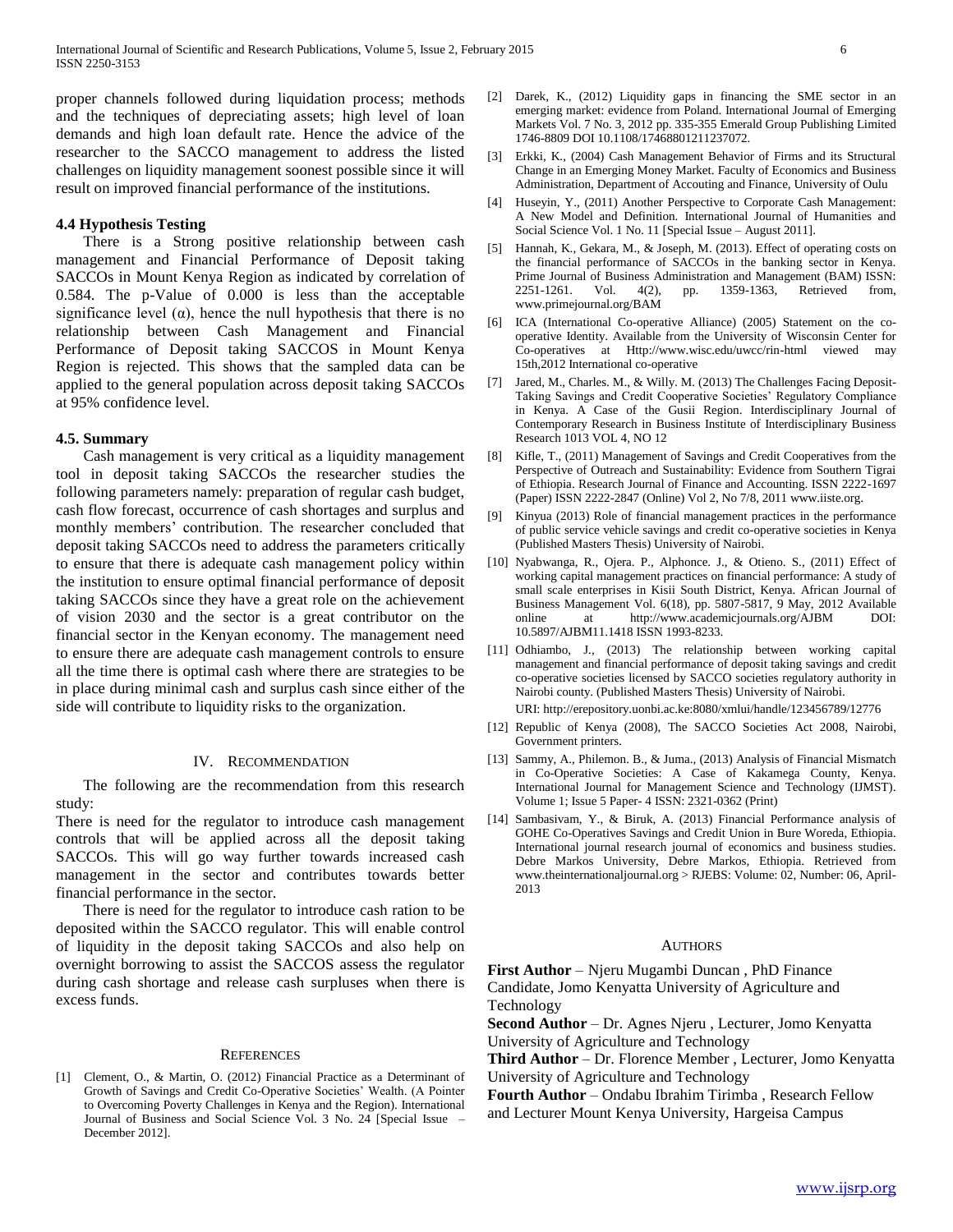proper channels followed during liquidation process; methods and the techniques of depreciating assets; high level of loan demands and high loan default rate. Hence the advice of the researcher to the SACCO management to address the listed challenges on liquidity management soonest possible since it will result on improved financial performance of the institutions.

## **4.4 Hypothesis Testing**

 There is a Strong positive relationship between cash management and Financial Performance of Deposit taking SACCOs in Mount Kenya Region as indicated by correlation of 0.584. The p-Value of 0.000 is less than the acceptable significance level  $(\alpha)$ , hence the null hypothesis that there is no relationship between Cash Management and Financial Performance of Deposit taking SACCOS in Mount Kenya Region is rejected. This shows that the sampled data can be applied to the general population across deposit taking SACCOs at 95% confidence level.

## **4.5. Summary**

 Cash management is very critical as a liquidity management tool in deposit taking SACCOs the researcher studies the following parameters namely: preparation of regular cash budget, cash flow forecast, occurrence of cash shortages and surplus and monthly members' contribution. The researcher concluded that deposit taking SACCOs need to address the parameters critically to ensure that there is adequate cash management policy within the institution to ensure optimal financial performance of deposit taking SACCOs since they have a great role on the achievement of vision 2030 and the sector is a great contributor on the financial sector in the Kenyan economy. The management need to ensure there are adequate cash management controls to ensure all the time there is optimal cash where there are strategies to be in place during minimal cash and surplus cash since either of the side will contribute to liquidity risks to the organization.

## IV. RECOMMENDATION

 The following are the recommendation from this research study:

There is need for the regulator to introduce cash management controls that will be applied across all the deposit taking SACCOs. This will go way further towards increased cash management in the sector and contributes towards better financial performance in the sector.

 There is need for the regulator to introduce cash ration to be deposited within the SACCO regulator. This will enable control of liquidity in the deposit taking SACCOs and also help on overnight borrowing to assist the SACCOS assess the regulator during cash shortage and release cash surpluses when there is excess funds.

#### **REFERENCES**

[1] Clement, O., & Martin, O. (2012) Financial Practice as a Determinant of Growth of Savings and Credit Co-Operative Societies' Wealth. (A Pointer to Overcoming Poverty Challenges in Kenya and the Region). International Journal of Business and Social Science Vol. 3 No. 24 [Special Issue – December 2012].

- [2] Darek, K., (2012) Liquidity gaps in financing the SME sector in an emerging market: evidence from Poland. International Journal of Emerging Markets Vol. 7 No. 3, 2012 pp. 335-355 Emerald Group Publishing Limited 1746-8809 DOI 10.1108/17468801211237072.
- [3] Erkki, K., (2004) Cash Management Behavior of Firms and its Structural Change in an Emerging Money Market. Faculty of Economics and Business Administration, Department of Accouting and Finance, University of Oulu
- [4] Huseyin, Y., (2011) Another Perspective to Corporate Cash Management: A New Model and Definition. International Journal of Humanities and Social Science Vol. 1 No. 11 [Special Issue – August 2011].
- [5] Hannah, K., Gekara, M., & Joseph, M. (2013). Effect of operating costs on the financial performance of SACCOs in the banking sector in Kenya. Prime Journal of Business Administration and Management (BAM) ISSN: 2251-1261. Vol. 4(2), pp. 1359-1363, Retrieved from, www.primejournal.org/BAM
- [6] ICA (International Co-operative Alliance) (2005) Statement on the cooperative Identity. Available from the University of Wisconsin Center for Co-operatives at Http://www.wisc.edu/uwcc/rin-html viewed may 15th,2012 International co-operative
- [7] Jared, M., Charles. M., & Willy. M. (2013) The Challenges Facing Deposit-Taking Savings and Credit Cooperative Societies' Regulatory Compliance in Kenya. A Case of the Gusii Region. Interdisciplinary Journal of Contemporary Research in Business Institute of Interdisciplinary Business Research 1013 VOL 4, NO 12
- [8] Kifle, T., (2011) Management of Savings and Credit Cooperatives from the Perspective of Outreach and Sustainability: Evidence from Southern Tigrai of Ethiopia. Research Journal of Finance and Accounting. ISSN 2222-1697 (Paper) ISSN 2222-2847 (Online) Vol 2, No 7/8, 2011 www.iiste.org.
- [9] Kinyua (2013) Role of financial management practices in the performance of public service vehicle savings and credit co-operative societies in Kenya (Published Masters Thesis) University of Nairobi.
- [10] Nyabwanga, R., Ojera. P., Alphonce. J., & Otieno. S., (2011) Effect of working capital management practices on financial performance: A study of small scale enterprises in Kisii South District, Kenya. African Journal of Business Management Vol. 6(18), pp. 5807-5817, 9 May, 2012 Available online at http://www.academicjournals.org/AJBM DOI: 10.5897/AJBM11.1418 ISSN 1993-8233.
- [11] Odhiambo, J., (2013) The relationship between working capital management and financial performance of deposit taking savings and credit co-operative societies licensed by SACCO societies regulatory authority in Nairobi county. (Published Masters Thesis) University of Nairobi.

URI: http://erepository.uonbi.ac.ke:8080/xmlui/handle/123456789/12776

- [12] Republic of Kenya (2008), The SACCO Societies Act 2008, Nairobi, Government printers.
- [13] Sammy, A., Philemon. B., & Juma., (2013) Analysis of Financial Mismatch in Co-Operative Societies: A Case of Kakamega County, Kenya. International Journal for Management Science and Technology (IJMST). Volume 1; Issue 5 Paper- 4 ISSN: 2321-0362 (Print)
- [14] Sambasivam, Y., & Biruk, A. (2013) Financial Performance analysis of GOHE Co-Operatives Savings and Credit Union in Bure Woreda, Ethiopia. International journal research journal of economics and business studies. Debre Markos University, Debre Markos, Ethiopia. Retrieved from www.theinternationaljournal.org > RJEBS: Volume: 02, Number: 06, April-2013

## **AUTHORS**

**First Author** – Njeru Mugambi Duncan , PhD Finance Candidate, Jomo Kenyatta University of Agriculture and Technology

**Second Author** – Dr. Agnes Njeru , Lecturer, Jomo Kenyatta University of Agriculture and Technology

**Third Author** – Dr. Florence Member , Lecturer, Jomo Kenyatta University of Agriculture and Technology

**Fourth Author** – Ondabu Ibrahim Tirimba , Research Fellow and Lecturer Mount Kenya University, Hargeisa Campus